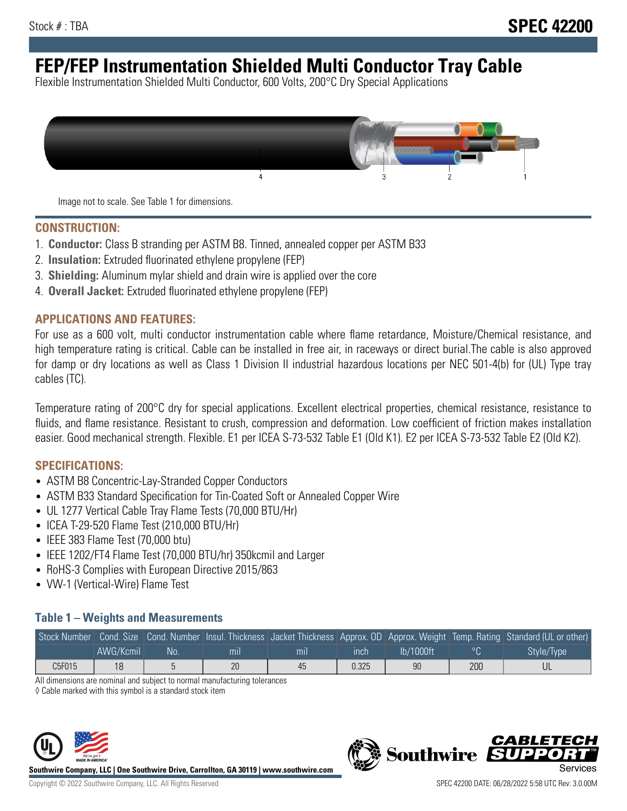# **FEP/FEP Instrumentation Shielded Multi Conductor Tray Cable**

Flexible Instrumentation Shielded Multi Conductor, 600 Volts, 200°C Dry Special Applications



Image not to scale. See Table 1 for dimensions.

#### **CONSTRUCTION:**

- 1. **Conductor:** Class B stranding per ASTM B8. Tinned, annealed copper per ASTM B33
- 2. **Insulation:** Extruded fluorinated ethylene propylene (FEP)
- 3. **Shielding:** Aluminum mylar shield and drain wire is applied over the core
- 4. **Overall Jacket:** Extruded fluorinated ethylene propylene (FEP)

#### **APPLICATIONS AND FEATURES:**

For use as a 600 volt, multi conductor instrumentation cable where flame retardance, Moisture/Chemical resistance, and high temperature rating is critical. Cable can be installed in free air, in raceways or direct burial.The cable is also approved for damp or dry locations as well as Class 1 Division II industrial hazardous locations per NEC 501-4(b) for (UL) Type tray cables (TC).

Temperature rating of 200°C dry for special applications. Excellent electrical properties, chemical resistance, resistance to fluids, and flame resistance. Resistant to crush, compression and deformation. Low coefficient of friction makes installation easier. Good mechanical strength. Flexible. E1 per ICEA S-73-532 Table E1 (Old K1). E2 per ICEA S-73-532 Table E2 (Old K2).

#### **SPECIFICATIONS:**

- ASTM B8 Concentric-Lay-Stranded Copper Conductors
- ASTM B33 Standard Specification for Tin-Coated Soft or Annealed Copper Wire
- UL 1277 Vertical Cable Tray Flame Tests (70,000 BTU/Hr)
- ICEA T-29-520 Flame Test (210,000 BTU/Hr)
- IEEE 383 Flame Test (70,000 btu)
- IEEE 1202/FT4 Flame Test (70,000 BTU/hr) 350kcmil and Larger
- RoHS-3 Complies with European Directive 2015/863
- VW-1 (Vertical-Wire) Flame Test

### **Table 1 – Weights and Measurements**

|        |           |     |     |     |       |           |     | Stock Number Cond. Size Cond. Number Insul. Thickness Jacket Thickness Approx. OD Approx. Weight Temp. Rating Standard (UL or other) |
|--------|-----------|-----|-----|-----|-------|-----------|-----|--------------------------------------------------------------------------------------------------------------------------------------|
|        | AWG/Kcmil | :No | mil | mıl | inch  | Ib/1000ft |     | Style/Type                                                                                                                           |
| C5F015 | 18        |     | 20  | 45  | 0.325 | 90        | 200 |                                                                                                                                      |

All dimensions are nominal and subject to normal manufacturing tolerances

◊ Cable marked with this symbol is a standard stock item



**Southwire Company, LLC | One Southwire Drive, Carrollton, GA 30119 | www.southwire.com**